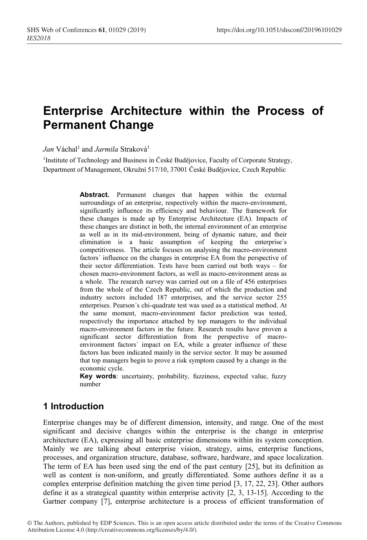# **Enterprise Architecture within the Process of Permanent Change**

*Jan* Váchal<sup>1</sup> and *Jarmila* Straková<sup>1</sup>

<sup>1</sup>Institute of Technology and Business in České Budějovice, Faculty of Corporate Strategy, Department of Management, Okružní 517/10, 37001 České Budějovice, Czech Republic

> **Abstract.** Permanent changes that happen within the external surroundings of an enterprise, respectively within the macro-environment, significantly influence its efficiency and behaviour. The framework for these changes is made up by Enterprise Architecture (EA). Impacts of these changes are distinct in both, the internal environment of an enterprise as well as in its mid-environment, being of dynamic nature, and their elimination is a basic assumption of keeping the enterprise´s competitiveness. The article focuses on analysing the macro-environment factors´ influence on the changes in enterprise EA from the perspective of their sector differentiation. Tests have been carried out both ways – for chosen macro-environment factors, as well as macro-environment areas as a whole. The research survey was carried out on a file of 456 enterprises from the whole of the Czech Republic, out of which the production and industry sectors included 187 enterprises, and the service sector 255 enterprises. Pearson´s chi-quadrate test was used as a statistical method. At the same moment, macro-environment factor prediction was tested, respectively the importance attached by top managers to the individual macro-environment factors in the future. Research results have proven a significant sector differentiation from the perspective of macroenvironment factors´ impact on EA, while a greater influence of these factors has been indicated mainly in the service sector. It may be assumed that top managers begin to prove a risk symptom caused by a change in the economic cycle.

> **Key words**: uncertainty, probability, fuzziness, expected value, fuzzy number

## **1 Introduction**

Enterprise changes may be of different dimension, intensity, and range. One of the most significant and decisive changes within the enterprise is the change in enterprise architecture (EA), expressing all basic enterprise dimensions within its system conception. Mainly we are talking about enterprise vision, strategy, aims, enterprise functions, processes, and organization structure, database, software, hardware, and space localization. The term of EA has been used sing the end of the past century [25], but its definition as well as content is non-uniform, and greatly differentiated. Some authors define it as a complex enterprise definition matching the given time period [3, 17, 22, 23]. Other authors define it as a strategical quantity within enterprise activity [2, 3, 13-15]. According to the Gartner company [7], enterprise architecture is a process of efficient transformation of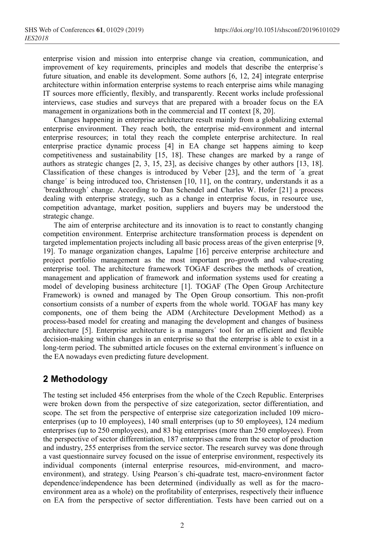enterprise vision and mission into enterprise change via creation, communication, and improvement of key requirements, principles and models that describe the enterprise´s future situation, and enable its development. Some authors [6, 12, 24] integrate enterprise architecture within information enterprise systems to reach enterprise aims while managing IT sources more efficiently, flexibly, and transparently. Recent works include professional interviews, case studies and surveys that are prepared with a broader focus on the EA management in organizations both in the commercial and IT context [8, 20].

Changes happening in enterprise architecture result mainly from a globalizing external enterprise environment. They reach both, the enterprise mid-environment and internal enterprise resources; in total they reach the complete enterprise architecture. In real enterprise practice dynamic process [4] in EA change set happens aiming to keep competitiveness and sustainability [15, 18]. These changes are marked by a range of authors as strategic changes [2, 3, 15, 23], as decisive changes by other authors [13, 18]. Classification of these changes is introduced by Veber [23], and the term of ´a great change´ is being introduced too, Christensen [10, 11], on the contrary, understands it as a ´breakthrough´ change. According to Dan Schendel and Charles W. Hofer [21] a process dealing with enterprise strategy, such as a change in enterprise focus, in resource use, competition advantage, market position, suppliers and buyers may be understood the strategic change.

The aim of enterprise architecture and its innovation is to react to constantly changing competition environment. Enterprise architecture transformation process is dependent on targeted implementation projects including all basic process areas of the given enterprise [9, 19]. To manage organization changes, Lapalme [16] perceive enterprise architecture and project portfolio management as the most important pro-growth and value-creating enterprise tool. The architecture framework TOGAF describes the methods of creation, management and application of framework and information systems used for creating a model of developing business architecture [1]. TOGAF (The Open Group Architecture Framework) is owned and managed by The Open Group consortium. This non-profit consortium consists of a number of experts from the whole world. TOGAF has many key components, one of them being the ADM (Architecture Development Method) as a process-based model for creating and managing the development and changes of business architecture [5]. Enterprise architecture is a managers´ tool for an efficient and flexible decision-making within changes in an enterprise so that the enterprise is able to exist in a long-term period. The submitted article focuses on the external environment's influence on the EA nowadays even predicting future development.

## **2 Methodology**

The testing set included 456 enterprises from the whole of the Czech Republic. Enterprises were broken down from the perspective of size categorization, sector differentiation, and scope. The set from the perspective of enterprise size categorization included 109 microenterprises (up to 10 employees), 140 small enterprises (up to 50 employees), 124 medium enterprises (up to 250 employees), and 83 big enterprises (more than 250 employees). From the perspective of sector differentiation, 187 enterprises came from the sector of production and industry, 255 enterprises from the service sector. The research survey was done through a vast questionnaire survey focused on the issue of enterprise environment, respectively its individual components (internal enterprise resources, mid-environment, and macroenvironment), and strategy. Using Pearson´s chi-quadrate test, macro-environment factor dependence/independence has been determined (individually as well as for the macroenvironment area as a whole) on the profitability of enterprises, respectively their influence on EA from the perspective of sector differentiation. Tests have been carried out on a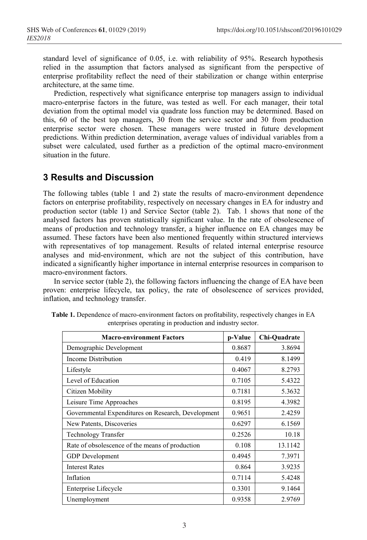standard level of significance of 0.05, i.e. with reliability of 95%. Research hypothesis relied in the assumption that factors analysed as significant from the perspective of enterprise profitability reflect the need of their stabilization or change within enterprise architecture, at the same time.

Prediction, respectively what significance enterprise top managers assign to individual macro-enterprise factors in the future, was tested as well. For each manager, their total deviation from the optimal model via quadrate loss function may be determined. Based on this, 60 of the best top managers, 30 from the service sector and 30 from production enterprise sector were chosen. These managers were trusted in future development predictions. Within prediction determination, average values of individual variables from a subset were calculated, used further as a prediction of the optimal macro-environment situation in the future.

#### **3 Results and Discussion**

The following tables (table 1 and 2) state the results of macro-environment dependence factors on enterprise profitability, respectively on necessary changes in EA for industry and production sector (table 1) and Service Sector (table 2). Tab. 1 shows that none of the analysed factors has proven statistically significant value. In the rate of obsolescence of means of production and technology transfer, a higher influence on EA changes may be assumed. These factors have been also mentioned frequently within structured interviews with representatives of top management. Results of related internal enterprise resource analyses and mid-environment, which are not the subject of this contribution, have indicated a significantly higher importance in internal enterprise resources in comparison to macro-environment factors.

In service sector (table 2), the following factors influencing the change of EA have been proven: enterprise lifecycle, tax policy, the rate of obsolescence of services provided, inflation, and technology transfer.

| <b>Macro-environment Factors</b>                   | p-Value | Chi-Quadrate |
|----------------------------------------------------|---------|--------------|
| Demographic Development                            | 0.8687  | 3.8694       |
| Income Distribution                                | 0.419   | 8.1499       |
| Lifestyle                                          | 0.4067  | 8.2793       |
| Level of Education                                 | 0.7105  | 5.4322       |
| Citizen Mobility                                   | 0.7181  | 5.3632       |
| Leisure Time Approaches                            | 0.8195  | 4.3982       |
| Governmental Expenditures on Research, Development | 0.9651  | 2.4259       |
| New Patents, Discoveries                           | 0.6297  | 6.1569       |
| <b>Technology Transfer</b>                         | 0.2526  | 10.18        |
| Rate of obsolescence of the means of production    | 0.108   | 13.1142      |
| <b>GDP</b> Development                             | 0.4945  | 7.3971       |
| <b>Interest Rates</b>                              | 0.864   | 3.9235       |
| Inflation                                          | 0.7114  | 5.4248       |
| Enterprise Lifecycle                               | 0.3301  | 9.1464       |
| Unemployment                                       | 0.9358  | 2.9769       |

| Table 1. Dependence of macro-environment factors on profitability, respectively changes in EA |                                                          |  |  |
|-----------------------------------------------------------------------------------------------|----------------------------------------------------------|--|--|
|                                                                                               | enterprises operating in production and industry sector. |  |  |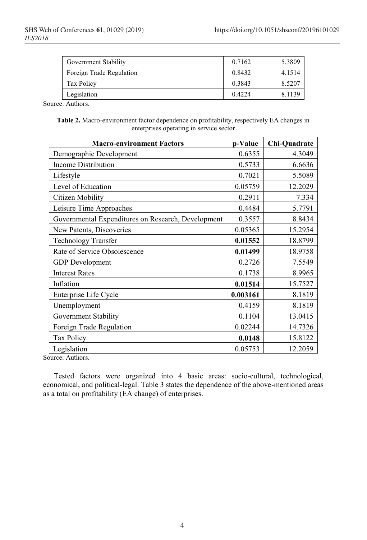| Government Stability     | 0.7162 | 5.3809 |
|--------------------------|--------|--------|
| Foreign Trade Regulation | 0.8432 | 4.1514 |
| Tax Policy               | 0.3843 | 8.5207 |
| Legislation              | 0.4224 | 8.1139 |

Source: Authors.

**Table 2.** Macro-environment factor dependence on profitability, respectively EA changes in enterprises operating in service sector

| <b>Macro-environment Factors</b>                   | p-Value  | Chi-Quadrate |
|----------------------------------------------------|----------|--------------|
| Demographic Development                            | 0.6355   | 4.3049       |
| Income Distribution                                | 0.5733   | 6.6636       |
| Lifestyle                                          | 0.7021   | 5.5089       |
| Level of Education                                 | 0.05759  | 12.2029      |
| <b>Citizen Mobility</b>                            | 0.2911   | 7.334        |
| Leisure Time Approaches                            | 0.4484   | 5.7791       |
| Governmental Expenditures on Research, Development | 0.3557   | 8.8434       |
| New Patents, Discoveries                           | 0.05365  | 15.2954      |
| <b>Technology Transfer</b>                         | 0.01552  | 18.8799      |
| Rate of Service Obsolescence                       | 0.01499  | 18.9758      |
| <b>GDP</b> Development                             | 0.2726   | 7.5549       |
| <b>Interest Rates</b>                              | 0.1738   | 8.9965       |
| Inflation                                          | 0.01514  | 15.7527      |
| Enterprise Life Cycle                              | 0.003161 | 8.1819       |
| Unemployment                                       | 0.4159   | 8.1819       |
| Government Stability                               | 0.1104   | 13.0415      |
| Foreign Trade Regulation                           | 0.02244  | 14.7326      |
| Tax Policy                                         | 0.0148   | 15.8122      |
| Legislation<br>$     -$                            | 0.05753  | 12.2059      |

Source: Authors.

Tested factors were organized into 4 basic areas: socio-cultural, technological, economical, and political-legal. Table 3 states the dependence of the above-mentioned areas as a total on profitability (EA change) of enterprises.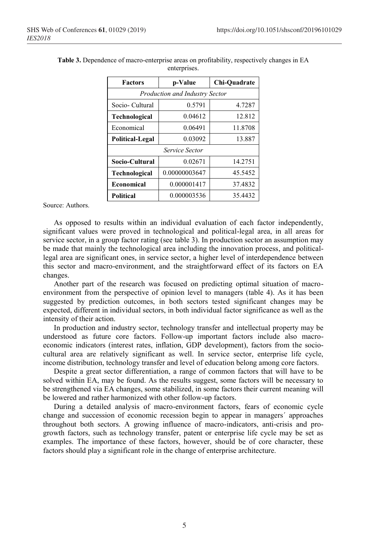| <b>Factors</b>                        | p-Value       | Chi-Quadrate |  |
|---------------------------------------|---------------|--------------|--|
| <b>Production and Industry Sector</b> |               |              |  |
| Socio-Cultural                        | 0.5791        | 4.7287       |  |
| Technological                         | 0.04612       | 12.812       |  |
| Economical                            | 0.06491       | 11.8708      |  |
| <b>Political-Legal</b>                | 0.03092       | 13.887       |  |
| Service Sector                        |               |              |  |
| Socio-Cultural                        | 0.02671       | 14.2751      |  |
| <b>Technological</b>                  | 0.00000003647 | 45.5452      |  |
| Economical                            | 0.000001417   | 37.4832      |  |
| <b>Political</b>                      | 0.000003536   | 35.4432      |  |

**Table 3.** Dependence of macro-enterprise areas on profitability, respectively changes in EA enterprises.

Source: Authors.

As opposed to results within an individual evaluation of each factor independently, significant values were proved in technological and political-legal area, in all areas for service sector, in a group factor rating (see table 3). In production sector an assumption may be made that mainly the technological area including the innovation process, and politicallegal area are significant ones, in service sector, a higher level of interdependence between this sector and macro-environment, and the straightforward effect of its factors on EA changes.

Another part of the research was focused on predicting optimal situation of macroenvironment from the perspective of opinion level to managers (table 4). As it has been suggested by prediction outcomes, in both sectors tested significant changes may be expected, different in individual sectors, in both individual factor significance as well as the intensity of their action.

In production and industry sector, technology transfer and intellectual property may be understood as future core factors. Follow-up important factors include also macroeconomic indicators (interest rates, inflation, GDP development), factors from the sociocultural area are relatively significant as well. In service sector, enterprise life cycle, income distribution, technology transfer and level of education belong among core factors.

Despite a great sector differentiation, a range of common factors that will have to be solved within EA, may be found. As the results suggest, some factors will be necessary to be strengthened via EA changes, some stabilized, in some factors their current meaning will be lowered and rather harmonized with other follow-up factors.

During a detailed analysis of macro-environment factors, fears of economic cycle change and succession of economic recession begin to appear in managers´ approaches throughout both sectors. A growing influence of macro-indicators, anti-crisis and progrowth factors, such as technology transfer, patent or enterprise life cycle may be set as examples. The importance of these factors, however, should be of core character, these factors should play a significant role in the change of enterprise architecture.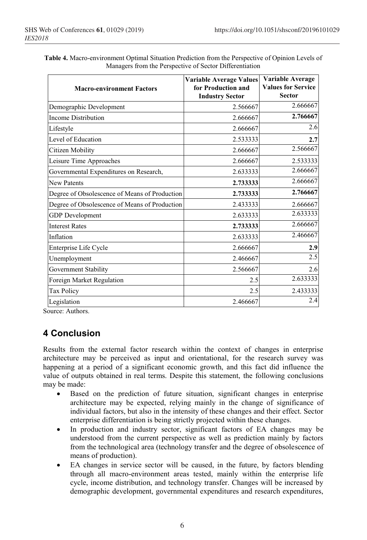Governmental Expenditures on Research,

| <b>Macro-environment Factors</b>       | <b>Variable Average Values</b><br>for Production and<br><b>Industry Sector</b> | Variable Average<br><b>Values for Service</b><br><b>Sector</b> |
|----------------------------------------|--------------------------------------------------------------------------------|----------------------------------------------------------------|
| Demographic Development                | 2.566667                                                                       | 2.666667                                                       |
| Income Distribution                    | 2.666667                                                                       | 2.766667                                                       |
| Lifestyle                              | 2.666667                                                                       | 2.6                                                            |
| Level of Education                     | 2.533333                                                                       | 2.7                                                            |
| Citizen Mobility                       | 2.666667                                                                       | 2.566667                                                       |
| Leisure Time Approaches                | 2.666667                                                                       | 2.533333                                                       |
| Governmental Expenditures on Research, | 2.633333                                                                       | 2.666667                                                       |

| Table 4. Macro-environment Optimal Situation Prediction from the Perspective of Opinion Levels of |
|---------------------------------------------------------------------------------------------------|
| Managers from the Perspective of Sector Differentiation                                           |

| <b>New Patents</b>                            | 2.733333 | 2.666667 |
|-----------------------------------------------|----------|----------|
| Degree of Obsolescence of Means of Production | 2.733333 | 2.766667 |
| Degree of Obsolescence of Means of Production | 2.433333 | 2.666667 |
| <b>GDP</b> Development                        | 2.633333 | 2.633333 |
| <b>Interest Rates</b>                         | 2.733333 | 2.666667 |
| Inflation                                     | 2.633333 | 2.466667 |
| Enterprise Life Cycle                         | 2.666667 | 2.9      |
| Unemployment                                  | 2.466667 | 2.5      |
| Government Stability                          | 2.566667 | 2.6      |
| Foreign Market Regulation                     | 2.5      | 2.633333 |
| <b>Tax Policy</b>                             | 2.5      | 2.433333 |
| Legislation                                   | 2.466667 | 2.4      |

Source: Authors.

# **4 Conclusion**

Results from the external factor research within the context of changes in enterprise architecture may be perceived as input and orientational, for the research survey was happening at a period of a significant economic growth, and this fact did influence the value of outputs obtained in real terms. Despite this statement, the following conclusions may be made:

- Based on the prediction of future situation, significant changes in enterprise architecture may be expected, relying mainly in the change of significance of individual factors, but also in the intensity of these changes and their effect. Sector enterprise differentiation is being strictly projected within these changes.
- In production and industry sector, significant factors of EA changes may be understood from the current perspective as well as prediction mainly by factors from the technological area (technology transfer and the degree of obsolescence of means of production).
- EA changes in service sector will be caused, in the future, by factors blending through all macro-environment areas tested, mainly within the enterprise life cycle, income distribution, and technology transfer. Changes will be increased by demographic development, governmental expenditures and research expenditures,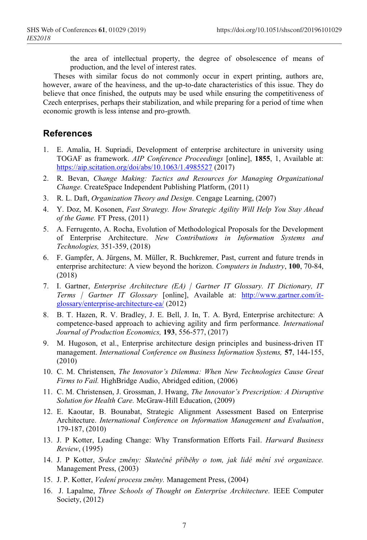the area of intellectual property, the degree of obsolescence of means of production, and the level of interest rates.

Theses with similar focus do not commonly occur in expert printing, authors are, however, aware of the heaviness, and the up-to-date characteristics of this issue. They do believe that once finished, the outputs may be used while ensuring the competitiveness of Czech enterprises, perhaps their stabilization, and while preparing for a period of time when economic growth is less intense and pro-growth.

#### **References**

- 1. E. Amalia, H. Supriadi, Development of enterprise architecture in university using TOGAF as framework. *AIP Conference Proceedings* [online], **1855**, 1, Available at: https://aip.scitation.org/doi/abs/10.1063/1.4985527 (2017)
- 2. R. Bevan, *Change Making: Tactics and Resources for Managing Organizational Change.* CreateSpace Independent Publishing Platform, (2011)
- 3. R. L. Daft, *Organization Theory and Design.* Cengage Learning, (2007)
- 4. Y. Doz, M. Kosonen, *Fast Strategy. How Strategic Agility Will Help You Stay Ahead of the Game.* FT Press, (2011)
- 5. A. Ferrugento, A. Rocha, Evolution of Methodological Proposals for the Development of Enterprise Architecture. *New Contributions in Information Systems and Technologies,* 351-359, (2018)
- 6. F. Gampfer, A. Jürgens, M. Müller, R. Buchkremer, Past, current and future trends in enterprise architecture: A view beyond the horizon. *Computers in Industry*, **100**, 70-84, (2018)
- 7. I. Gartner, *Enterprise Architecture (EA) | Gartner IT Glossary. IT Dictionary, IT Terms | Gartner IT Glossary* [online], Available at: http://www.gartner.com/itglossary/enterprise-architecture-ea/ (2012)
- 8. B. T. Hazen, R. V. Bradley, J. E. Bell, J. In, T. A. Byrd, Enterprise architecture: A competence-based approach to achieving agility and firm performance*. International Journal of Production Economics,* **193**, 556-577, (2017)
- 9. M. Hugoson, et al., Enterprise architecture design principles and business-driven IT management. *International Conference on Business Information Systems,* **57**, 144-155, (2010)
- 10. C. M. Christensen, *The Innovator's Dilemma: When New Technologies Cause Great Firms to Fail.* HighBridge Audio, Abridged edition, (2006)
- 11. C. M. Christensen, J. Grossman, J. Hwang, *The Innovator's Prescription: A Disruptive Solution for Health Care.* McGraw-Hill Education, (2009)
- 12. E. Kaoutar, B. Bounabat, Strategic Alignment Assessment Based on Enterprise Architecture. *International Conference on Information Management and Evaluation*, 179-187, (2010)
- 13. J. P Kotter, Leading Change: Why Transformation Efforts Fail. *Harward Business Review*, (1995)
- 14. J. P Kotter, *Srdce změny: Skutečné příběhy o tom, jak lidé mění své organizace.*  Management Press, (2003)
- 15. J. P. Kotter, *Vedení procesu změny.* Management Press, (2004)
- 16. J. Lapalme, *Three Schools of Thought on Enterprise Architecture.* IEEE Computer Society, (2012)